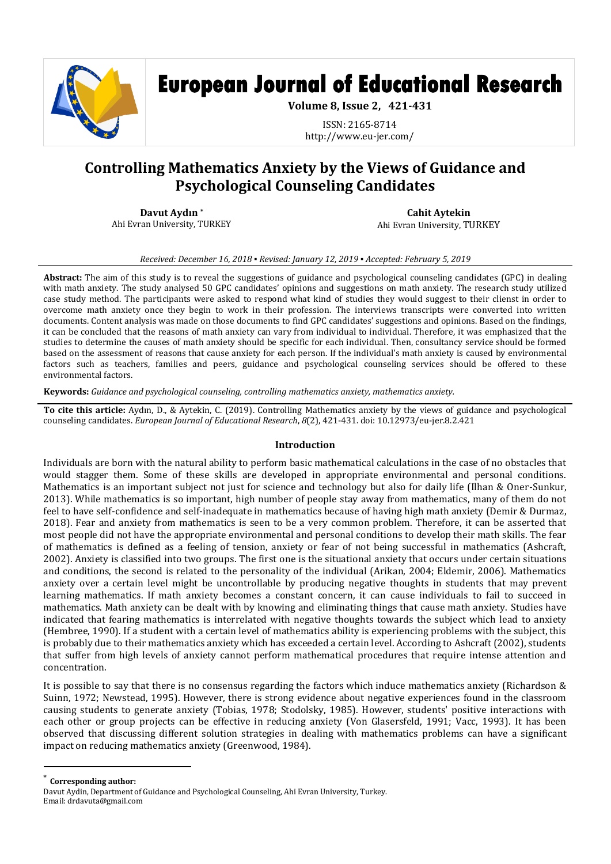

# **European Journal of Educational Research**

**Volume 8, Issue 2, 421-431**

ISSN: 2165-8714 http://www.eu-jer.com/

# **Controlling Mathematics Anxiety by the Views of Guidance and Psychological Counseling Candidates**

**Davut Aydın \*** Ahi Evran University, TURKEY

**Cahit Aytekin** Ahi Evran University, TURKEY

*Received: December 16, 2018 ▪ Revised: January 12, 2019 ▪ Accepted: February 5, 2019*

**Abstract:** The aim of this study is to reveal the suggestions of guidance and psychological counseling candidates (GPC) in dealing with math anxiety. The study analysed 50 GPC candidates' opinions and suggestions on math anxiety. The research study utilized case study method. The participants were asked to respond what kind of studies they would suggest to their clienst in order to overcome math anxiety once they begin to work in their profession. The interviews transcripts were converted into written documents. Content analysis was made on those documents to find GPC candidates' suggestions and opinions. Based on the findings, it can be concluded that the reasons of math anxiety can vary from individual to individual. Therefore, it was emphasized that the studies to determine the causes of math anxiety should be specific for each individual. Then, consultancy service should be formed based on the assessment of reasons that cause anxiety for each person. If the individual's math anxiety is caused by environmental factors such as teachers, families and peers, guidance and psychological counseling services should be offered to these environmental factors.

**Keywords:** *Guidance and psychological counseling, controlling mathematics anxiety, mathematics anxiety.*

**To cite this article:** Aydın, D., & Aytekin, C. (2019). Controlling Mathematics anxiety by the views of guidance and psychological counseling candidates. *European Journal of Educational Research*, *8*(2), 421-431. doi: 10.12973/eu-jer.8.2.421

#### **Introduction**

Individuals are born with the natural ability to perform basic mathematical calculations in the case of no obstacles that would stagger them. Some of these skills are developed in appropriate environmental and personal conditions. Mathematics is an important subject not just for science and technology but also for daily life (Ilhan & Oner-Sunkur, 2013). While mathematics is so important, high number of people stay away from mathematics, many of them do not feel to have self-confidence and self-inadequate in mathematics because of having high math anxiety (Demir & Durmaz, 2018). Fear and anxiety from mathematics is seen to be a very common problem. Therefore, it can be asserted that most people did not have the appropriate environmental and personal conditions to develop their math skills. The fear of mathematics is defined as a feeling of tension, anxiety or fear of not being successful in mathematics (Ashcraft, 2002). Anxiety is classified into two groups. The first one is the situational anxiety that occurs under certain situations and conditions, the second is related to the personality of the individual (Arikan, 2004; Eldemir, 2006). Mathematics anxiety over a certain level might be uncontrollable by producing negative thoughts in students that may prevent learning mathematics. If math anxiety becomes a constant concern, it can cause individuals to fail to succeed in mathematics. Math anxiety can be dealt with by knowing and eliminating things that cause math anxiety. Studies have indicated that fearing mathematics is interrelated with negative thoughts towards the subject which lead to anxiety (Hembree, 1990). If a student with a certain level of mathematics ability is experiencing problems with the subject, this is probably due to their mathematics anxiety which has exceeded a certain level. According to Ashcraft (2002), students that suffer from high levels of anxiety cannot perform mathematical procedures that require intense attention and concentration.

It is possible to say that there is no consensus regarding the factors which induce mathematics anxiety (Richardson & Suinn, 1972; Newstead, 1995). However, there is strong evidence about negative experiences found in the classroom causing students to generate anxiety (Tobias, 1978; Stodolsky, 1985). However, students' positive interactions with each other or group projects can be effective in reducing anxiety (Von Glasersfeld, 1991; Vacc, 1993). It has been observed that discussing different solution strategies in dealing with mathematics problems can have a significant impact on reducing mathematics anxiety (Greenwood, 1984).

\* **Corresponding author:**

 $\overline{\phantom{a}}$ 

Davut Aydin, Department of Guidance and Psychological Counseling, Ahi Evran University, Turkey. Email: drdavuta@gmail.com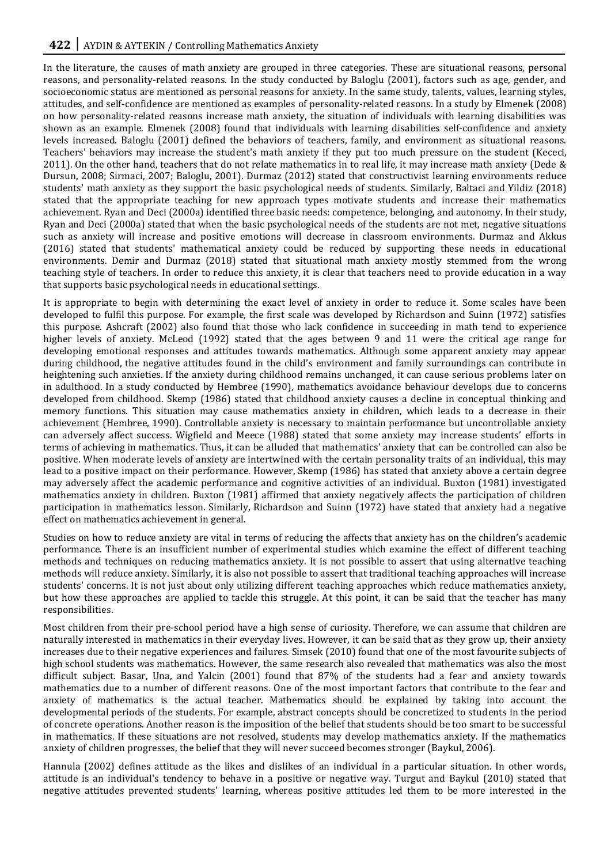In the literature, the causes of math anxiety are grouped in three categories. These are situational reasons, personal reasons, and personality-related reasons. In the study conducted by Baloglu (2001), factors such as age, gender, and socioeconomic status are mentioned as personal reasons for anxiety. In the same study, talents, values, learning styles, attitudes, and self-confidence are mentioned as examples of personality-related reasons. In a study by Elmenek (2008) on how personality-related reasons increase math anxiety, the situation of individuals with learning disabilities was shown as an example. Elmenek (2008) found that individuals with learning disabilities self-confidence and anxiety levels increased. Baloglu (2001) defined the behaviors of teachers, family, and environment as situational reasons. Teachers' behaviors may increase the student's math anxiety if they put too much pressure on the student (Kececi, 2011). On the other hand, teachers that do not relate mathematics in to real life, it may increase math anxiety (Dede & Dursun, 2008; Sirmaci, 2007; Baloglu, 2001). Durmaz (2012) stated that constructivist learning environments reduce students' math anxiety as they support the basic psychological needs of students. Similarly, Baltaci and Yildiz (2018) stated that the appropriate teaching for new approach types motivate students and increase their mathematics achievement. Ryan and Deci (2000a) identified three basic needs: competence, belonging, and autonomy. In their study, Ryan and Deci (2000a) stated that when the basic psychological needs of the students are not met, negative situations such as anxiety will increase and positive emotions will decrease in classroom environments. Durmaz and Akkus (2016) stated that students' mathematical anxiety could be reduced by supporting these needs in educational environments. Demir and Durmaz (2018) stated that situational math anxiety mostly stemmed from the wrong teaching style of teachers. In order to reduce this anxiety, it is clear that teachers need to provide education in a way that supports basic psychological needs in educational settings.

It is appropriate to begin with determining the exact level of anxiety in order to reduce it. Some scales have been developed to fulfil this purpose. For example, the first scale was developed by Richardson and Suinn (1972) satisfies this purpose. Ashcraft (2002) also found that those who lack confidence in succeeding in math tend to experience higher levels of anxiety. McLeod (1992) stated that the ages between 9 and 11 were the critical age range for developing emotional responses and attitudes towards mathematics. Although some apparent anxiety may appear during childhood, the negative attitudes found in the child's environment and family surroundings can contribute in heightening such anxieties. If the anxiety during childhood remains unchanged, it can cause serious problems later on in adulthood. In a study conducted by Hembree (1990), mathematics avoidance behaviour develops due to concerns developed from childhood. Skemp (1986) stated that childhood anxiety causes a decline in conceptual thinking and memory functions. This situation may cause mathematics anxiety in children, which leads to a decrease in their achievement (Hembree, 1990). Controllable anxiety is necessary to maintain performance but uncontrollable anxiety can adversely affect success. Wigfield and Meece (1988) stated that some anxiety may increase students' efforts in terms of achieving in mathematics. Thus, it can be alluded that mathematics' anxiety that can be controlled can also be positive. When moderate levels of anxiety are intertwined with the certain personality traits of an individual, this may lead to a positive impact on their performance. However, Skemp (1986) has stated that anxiety above a certain degree may adversely affect the academic performance and cognitive activities of an individual. Buxton (1981) investigated mathematics anxiety in children. Buxton (1981) affirmed that anxiety negatively affects the participation of children participation in mathematics lesson. Similarly, Richardson and Suinn (1972) have stated that anxiety had a negative effect on mathematics achievement in general.

Studies on how to reduce anxiety are vital in terms of reducing the affects that anxiety has on the children's academic performance. There is an insufficient number of experimental studies which examine the effect of different teaching methods and techniques on reducing mathematics anxiety. It is not possible to assert that using alternative teaching methods will reduce anxiety. Similarly, it is also not possible to assert that traditional teaching approaches will increase students' concerns. It is not just about only utilizing different teaching approaches which reduce mathematics anxiety, but how these approaches are applied to tackle this struggle. At this point, it can be said that the teacher has many responsibilities.

Most children from their pre-school period have a high sense of curiosity. Therefore, we can assume that children are naturally interested in mathematics in their everyday lives. However, it can be said that as they grow up, their anxiety increases due to their negative experiences and failures. Simsek (2010) found that one of the most favourite subjects of high school students was mathematics. However, the same research also revealed that mathematics was also the most difficult subject. Basar, Una, and Yalcin (2001) found that 87% of the students had a fear and anxiety towards mathematics due to a number of different reasons. One of the most important factors that contribute to the fear and anxiety of mathematics is the actual teacher. Mathematics should be explained by taking into account the developmental periods of the students. For example, abstract concepts should be concretized to students in the period of concrete operations. Another reason is the imposition of the belief that students should be too smart to be successful in mathematics. If these situations are not resolved, students may develop mathematics anxiety. If the mathematics anxiety of children progresses, the belief that they will never succeed becomes stronger (Baykul, 2006).

Hannula (2002) defines attitude as the likes and dislikes of an individual in a particular situation. In other words, attitude is an individual's tendency to behave in a positive or negative way. Turgut and Baykul (2010) stated that negative attitudes prevented students' learning, whereas positive attitudes led them to be more interested in the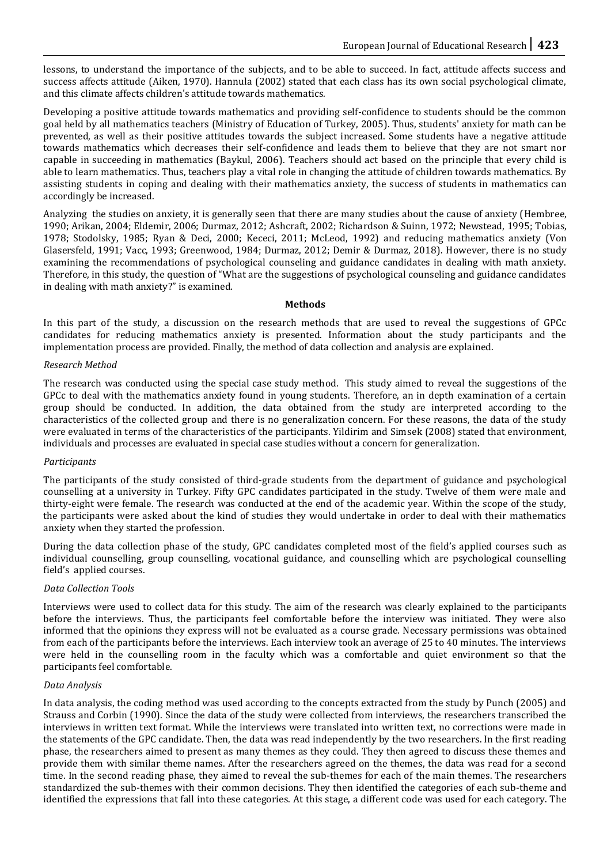lessons, to understand the importance of the subjects, and to be able to succeed. In fact, attitude affects success and success affects attitude (Aiken, 1970). Hannula (2002) stated that each class has its own social psychological climate, and this climate affects children's attitude towards mathematics.

Developing a positive attitude towards mathematics and providing self-confidence to students should be the common goal held by all mathematics teachers (Ministry of Education of Turkey, 2005). Thus, students' anxiety for math can be prevented, as well as their positive attitudes towards the subject increased. Some students have a negative attitude towards mathematics which decreases their self-confidence and leads them to believe that they are not smart nor capable in succeeding in mathematics (Baykul, 2006). Teachers should act based on the principle that every child is able to learn mathematics. Thus, teachers play a vital role in changing the attitude of children towards mathematics. By assisting students in coping and dealing with their mathematics anxiety, the success of students in mathematics can accordingly be increased.

Analyzing the studies on anxiety, it is generally seen that there are many studies about the cause of anxiety (Hembree, 1990; Arikan, 2004; Eldemir, 2006; Durmaz, 2012; Ashcraft, 2002; Richardson & Suinn, 1972; Newstead, 1995; Tobias, 1978; Stodolsky, 1985; Ryan & Deci, 2000; Kececi, 2011; McLeod, 1992) and reducing mathematics anxiety (Von Glasersfeld, 1991; Vacc, 1993; Greenwood, 1984; Durmaz, 2012; Demir & Durmaz, 2018). However, there is no study examining the recommendations of psychological counseling and guidance candidates in dealing with math anxiety. Therefore, in this study, the question of "What are the suggestions of psychological counseling and guidance candidates in dealing with math anxiety?" is examined.

# **Methods**

In this part of the study, a discussion on the research methods that are used to reveal the suggestions of GPCc candidates for reducing mathematics anxiety is presented. Information about the study participants and the implementation process are provided. Finally, the method of data collection and analysis are explained.

# *Research Method*

The research was conducted using the special case study method. This study aimed to reveal the suggestions of the GPCc to deal with the mathematics anxiety found in young students. Therefore, an in depth examination of a certain group should be conducted. In addition, the data obtained from the study are interpreted according to the characteristics of the collected group and there is no generalization concern. For these reasons, the data of the study were evaluated in terms of the characteristics of the participants. Yildirim and Simsek (2008) stated that environment, individuals and processes are evaluated in special case studies without a concern for generalization.

# *Participants*

The participants of the study consisted of third-grade students from the department of guidance and psychological counselling at a university in Turkey. Fifty GPC candidates participated in the study. Twelve of them were male and thirty-eight were female. The research was conducted at the end of the academic year. Within the scope of the study, the participants were asked about the kind of studies they would undertake in order to deal with their mathematics anxiety when they started the profession.

During the data collection phase of the study, GPC candidates completed most of the field's applied courses such as individual counselling, group counselling, vocational guidance, and counselling which are psychological counselling field's applied courses.

# *Data Collection Tools*

Interviews were used to collect data for this study. The aim of the research was clearly explained to the participants before the interviews. Thus, the participants feel comfortable before the interview was initiated. They were also informed that the opinions they express will not be evaluated as a course grade. Necessary permissions was obtained from each of the participants before the interviews. Each interview took an average of 25 to 40 minutes. The interviews were held in the counselling room in the faculty which was a comfortable and quiet environment so that the participants feel comfortable.

#### *Data Analysis*

In data analysis, the coding method was used according to the concepts extracted from the study by Punch (2005) and Strauss and Corbin (1990). Since the data of the study were collected from interviews, the researchers transcribed the interviews in written text format. While the interviews were translated into written text, no corrections were made in the statements of the GPC candidate. Then, the data was read independently by the two researchers. In the first reading phase, the researchers aimed to present as many themes as they could. They then agreed to discuss these themes and provide them with similar theme names. After the researchers agreed on the themes, the data was read for a second time. In the second reading phase, they aimed to reveal the sub-themes for each of the main themes. The researchers standardized the sub-themes with their common decisions. They then identified the categories of each sub-theme and identified the expressions that fall into these categories. At this stage, a different code was used for each category. The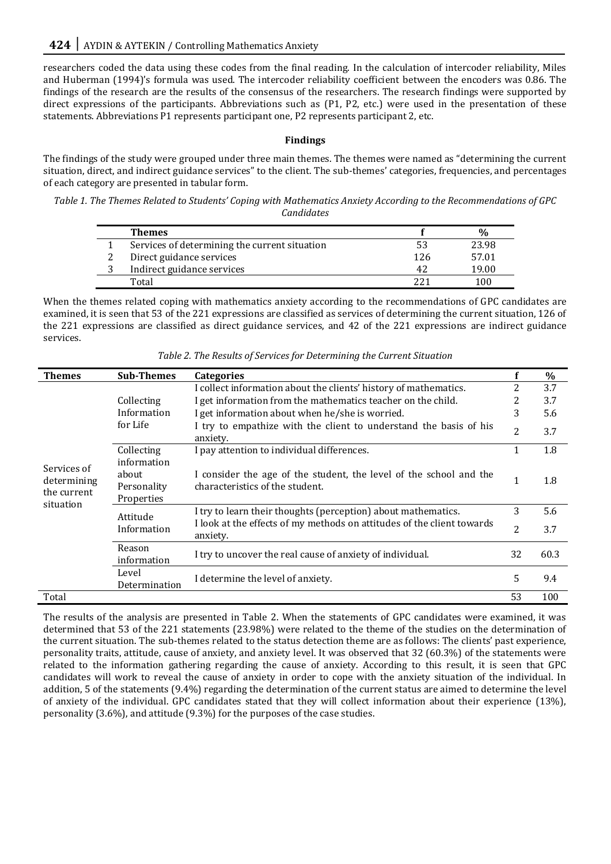researchers coded the data using these codes from the final reading. In the calculation of intercoder reliability, Miles and Huberman (1994)'s formula was used. The intercoder reliability coefficient between the encoders was 0.86. The findings of the research are the results of the consensus of the researchers. The research findings were supported by direct expressions of the participants. Abbreviations such as (P1, P2, etc.) were used in the presentation of these statements. Abbreviations P1 represents participant one, P2 represents participant 2, etc.

# **Findings**

The findings of the study were grouped under three main themes. The themes were named as "determining the current situation, direct, and indirect guidance services" to the client. The sub-themes' categories, frequencies, and percentages of each category are presented in tabular form.

*Table 1. The Themes Related to Students' Coping with Mathematics Anxiety According to the Recommendations of GPC Candidates*

| <b>Themes</b>                                 |     |         |
|-----------------------------------------------|-----|---------|
| Services of determining the current situation | 53  | 23.98   |
| Direct guidance services                      | 126 | 57.01   |
| Indirect guidance services                    | 42  | 19.00   |
| Total                                         |     | l () () |

When the themes related coping with mathematics anxiety according to the recommendations of GPC candidates are examined, it is seen that 53 of the 221 expressions are classified as services of determining the current situation, 126 of the 221 expressions are classified as direct guidance services, and 42 of the 221 expressions are indirect guidance services.

| <b>Themes</b>                                          | <b>Sub-Themes</b>                                                                  | Categories                                                                                            | f            | $\%$ |
|--------------------------------------------------------|------------------------------------------------------------------------------------|-------------------------------------------------------------------------------------------------------|--------------|------|
|                                                        |                                                                                    | I collect information about the clients' history of mathematics.                                      | 2            | 3.7  |
|                                                        | Collecting<br>Information                                                          | I get information from the mathematics teacher on the child.                                          | 2            | 3.7  |
|                                                        |                                                                                    | I get information about when he/she is worried.                                                       | 3            | 5.6  |
|                                                        | for Life                                                                           | I try to empathize with the client to understand the basis of his<br>anxiety.                         | 2            | 3.7  |
|                                                        | Collecting                                                                         | I pay attention to individual differences.                                                            | 1            | 1.8  |
| Services of<br>determining<br>the current<br>situation | information<br>about<br>Personality<br>Properties                                  | I consider the age of the student, the level of the school and the<br>characteristics of the student. | $\mathbf{1}$ | 1.8  |
|                                                        | Attitude<br>Information                                                            | I try to learn their thoughts (perception) about mathematics.                                         | 3            | 5.6  |
|                                                        |                                                                                    | I look at the effects of my methods on attitudes of the client towards<br>anxiety.                    | 2            | 3.7  |
|                                                        | Reason<br>I try to uncover the real cause of anxiety of individual.<br>information |                                                                                                       | 32           | 60.3 |
|                                                        | Level<br>Determination                                                             | I determine the level of anxiety.                                                                     | 5            | 9.4  |
| Total                                                  |                                                                                    |                                                                                                       | 53           | 100  |

*Table 2. The Results of Services for Determining the Current Situation*

The results of the analysis are presented in Table 2. When the statements of GPC candidates were examined, it was determined that 53 of the 221 statements (23.98%) were related to the theme of the studies on the determination of the current situation. The sub-themes related to the status detection theme are as follows: The clients' past experience, personality traits, attitude, cause of anxiety, and anxiety level. It was observed that 32 (60.3%) of the statements were related to the information gathering regarding the cause of anxiety. According to this result, it is seen that GPC candidates will work to reveal the cause of anxiety in order to cope with the anxiety situation of the individual. In addition, 5 of the statements (9.4%) regarding the determination of the current status are aimed to determine the level of anxiety of the individual. GPC candidates stated that they will collect information about their experience (13%), personality (3.6%), and attitude (9.3%) for the purposes of the case studies.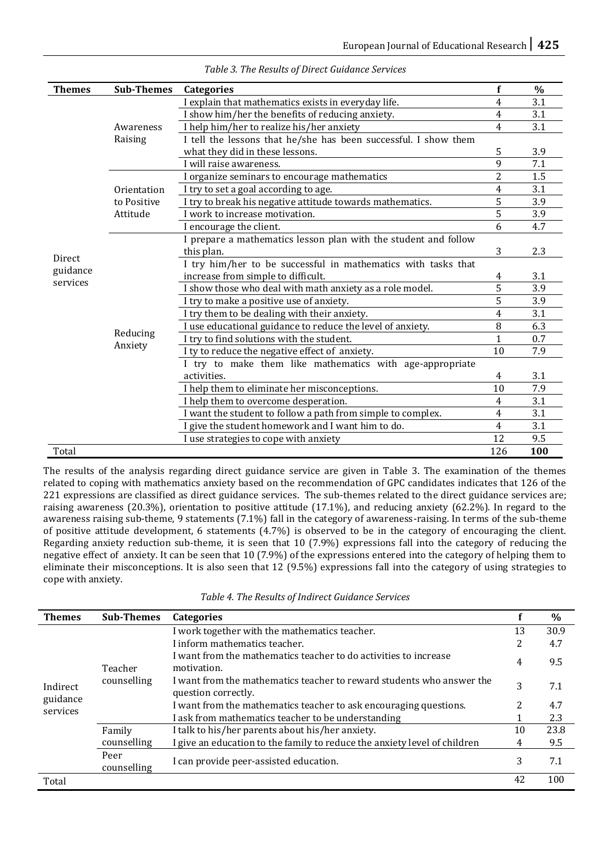| <b>Themes</b> | <b>Sub-Themes</b>    | <b>Categories</b>                                               | f              | $\frac{0}{0}$ |
|---------------|----------------------|-----------------------------------------------------------------|----------------|---------------|
|               | Awareness<br>Raising | I explain that mathematics exists in everyday life.             | 4              | 3.1           |
|               |                      | I show him/her the benefits of reducing anxiety.                | 4              | 3.1           |
|               |                      | I help him/her to realize his/her anxiety                       | 4              | 3.1           |
|               |                      | I tell the lessons that he/she has been successful. I show them |                |               |
|               |                      | what they did in these lessons.                                 | 5              | 3.9           |
|               |                      | I will raise awareness.                                         | 9              | 7.1           |
|               |                      | I organize seminars to encourage mathematics                    | 2              | 1.5           |
|               | Orientation          | I try to set a goal according to age.                           | 4              | 3.1           |
|               | to Positive          | I try to break his negative attitude towards mathematics.       | 5              | 3.9           |
|               | Attitude             | I work to increase motivation.                                  | 5              | 3.9           |
|               |                      | I encourage the client.                                         | 6              | 4.7           |
|               |                      | I prepare a mathematics lesson plan with the student and follow |                |               |
| Direct        |                      | this plan.                                                      | 3              | 2.3           |
| guidance      |                      | I try him/her to be successful in mathematics with tasks that   |                |               |
| services      | Reducing<br>Anxiety  | increase from simple to difficult.                              | 4              | 3.1           |
|               |                      | I show those who deal with math anxiety as a role model.        | 5              | 3.9           |
|               |                      | I try to make a positive use of anxiety.                        | 5              | 3.9           |
|               |                      | I try them to be dealing with their anxiety.                    | 4              | 3.1           |
|               |                      | I use educational guidance to reduce the level of anxiety.      | 8              | 6.3           |
|               |                      | I try to find solutions with the student.                       | 1              | 0.7           |
|               |                      | I ty to reduce the negative effect of anxiety.                  | 10             | 7.9           |
|               |                      | I try to make them like mathematics with age-appropriate        |                |               |
|               |                      | activities.                                                     | 4              | 3.1           |
|               |                      | I help them to eliminate her misconceptions.                    | 10             | 7.9           |
|               |                      | I help them to overcome desperation.                            | 4              | 3.1           |
|               |                      | I want the student to follow a path from simple to complex.     | $\overline{4}$ | 3.1           |
|               |                      | I give the student homework and I want him to do.               | 4              | 3.1           |
|               |                      | I use strategies to cope with anxiety                           | 12             | 9.5           |
| Total         |                      |                                                                 | 126            | 100           |

*Table 3. The Results of Direct Guidance Services*

The results of the analysis regarding direct guidance service are given in Table 3. The examination of the themes related to coping with mathematics anxiety based on the recommendation of GPC candidates indicates that 126 of the 221 expressions are classified as direct guidance services. The sub-themes related to the direct guidance services are; raising awareness (20.3%), orientation to positive attitude (17.1%), and reducing anxiety (62.2%). In regard to the awareness raising sub-theme, 9 statements (7.1%) fall in the category of awareness-raising. In terms of the sub-theme of positive attitude development, 6 statements (4.7%) is observed to be in the category of encouraging the client. Regarding anxiety reduction sub-theme, it is seen that 10 (7.9%) expressions fall into the category of reducing the negative effect of anxiety. It can be seen that 10 (7.9%) of the expressions entered into the category of helping them to eliminate their misconceptions. It is also seen that 12 (9.5%) expressions fall into the category of using strategies to cope with anxiety.

| Table 4. The Results of Indirect Guidance Services |  |  |  |
|----------------------------------------------------|--|--|--|
|----------------------------------------------------|--|--|--|

| <b>Themes</b>        | <b>Sub-Themes</b>      | <b>Categories</b>                                                                            |    | $\%$ |
|----------------------|------------------------|----------------------------------------------------------------------------------------------|----|------|
|                      | Teacher<br>counselling | I work together with the mathematics teacher.                                                | 13 | 30.9 |
|                      |                        | I inform mathematics teacher.                                                                | 2  | 4.7  |
|                      |                        | I want from the mathematics teacher to do activities to increase<br>motivation.              | 4  | 9.5  |
| Indirect             |                        | I want from the mathematics teacher to reward students who answer the<br>question correctly. | 3  | 7.1  |
| guidance<br>services |                        | I want from the mathematics teacher to ask encouraging questions.                            |    | 4.7  |
|                      |                        | I ask from mathematics teacher to be understanding                                           |    | 2.3  |
|                      | Family                 | I talk to his/her parents about his/her anxiety.                                             | 10 | 23.8 |
|                      | counselling            | I give an education to the family to reduce the anxiety level of children                    | 4  | 9.5  |
|                      | Peer<br>counselling    | I can provide peer-assisted education.                                                       | 3  | 7.1  |
| Total                |                        |                                                                                              | 42 | 100  |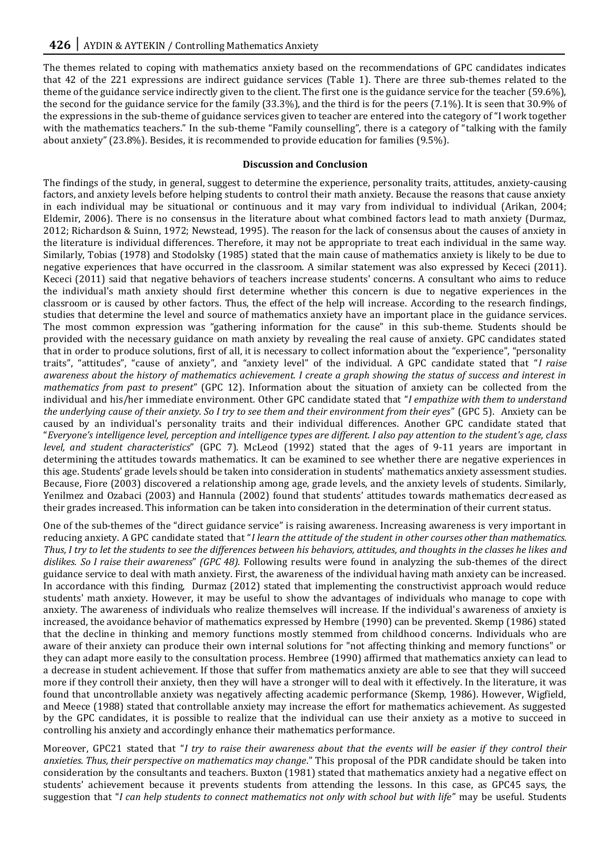The themes related to coping with mathematics anxiety based on the recommendations of GPC candidates indicates that 42 of the 221 expressions are indirect guidance services (Table 1). There are three sub-themes related to the theme of the guidance service indirectly given to the client. The first one is the guidance service for the teacher (59.6%), the second for the guidance service for the family (33.3%), and the third is for the peers (7.1%). It is seen that 30.9% of the expressions in the sub-theme of guidance services given to teacher are entered into the category of "I work together with the mathematics teachers." In the sub-theme "Family counselling", there is a category of "talking with the family about anxiety" (23.8%). Besides, it is recommended to provide education for families (9.5%).

# **Discussion and Conclusion**

The findings of the study, in general, suggest to determine the experience, personality traits, attitudes, anxiety-causing factors, and anxiety levels before helping students to control their math anxiety. Because the reasons that cause anxiety in each individual may be situational or continuous and it may vary from individual to individual (Arikan, 2004; Eldemir, 2006). There is no consensus in the literature about what combined factors lead to math anxiety (Durmaz, 2012; Richardson & Suinn, 1972; Newstead, 1995). The reason for the lack of consensus about the causes of anxiety in the literature is individual differences. Therefore, it may not be appropriate to treat each individual in the same way. Similarly, Tobias (1978) and Stodolsky (1985) stated that the main cause of mathematics anxiety is likely to be due to negative experiences that have occurred in the classroom. A similar statement was also expressed by Kececi (2011). Kececi (2011) said that negative behaviors of teachers increase students' concerns. A consultant who aims to reduce the individual's math anxiety should first determine whether this concern is due to negative experiences in the classroom or is caused by other factors. Thus, the effect of the help will increase. According to the research findings, studies that determine the level and source of mathematics anxiety have an important place in the guidance services. The most common expression was "gathering information for the cause" in this sub-theme. Students should be provided with the necessary guidance on math anxiety by revealing the real cause of anxiety. GPC candidates stated that in order to produce solutions, first of all, it is necessary to collect information about the "experience", "personality traits", "attitudes", "cause of anxiety", and "anxiety level" of the individual. A GPC candidate stated that "*I raise awareness about the history of mathematics achievement. I create a graph showing the status of success and interest in mathematics from past to present*" (GPC 12). Information about the situation of anxiety can be collected from the individual and his/her immediate environment. Other GPC candidate stated that "*I empathize with them to understand the underlying cause of their anxiety. So I try to see them and their environment from their eyes*" (GPC 5). Anxiety can be caused by an individual's personality traits and their individual differences. Another GPC candidate stated that "*Everyone's intelligence level, perception and intelligence types are different. I also pay attention to the student's age, class level, and student characteristics*" (GPC 7). McLeod (1992) stated that the ages of 9-11 years are important in determining the attitudes towards mathematics. It can be examined to see whether there are negative experiences in this age. Students' grade levels should be taken into consideration in students' mathematics anxiety assessment studies. Because, Fiore (2003) discovered a relationship among age, grade levels, and the anxiety levels of students. Similarly, Yenilmez and Ozabaci (2003) and Hannula (2002) found that students' attitudes towards mathematics decreased as their grades increased. This information can be taken into consideration in the determination of their current status.

One of the sub-themes of the "direct guidance service" is raising awareness. Increasing awareness is very important in reducing anxiety. A GPC candidate stated that "*I learn the attitude of the student in other courses other than mathematics. Thus, I try to let the students to see the differences between his behaviors, attitudes, and thoughts in the classes he likes and dislikes. So I raise their awareness*" *(GPC 48).* Following results were found in analyzing the sub-themes of the direct guidance service to deal with math anxiety. First, the awareness of the individual having math anxiety can be increased. In accordance with this finding, Durmaz (2012) stated that implementing the constructivist approach would reduce students' math anxiety. However, it may be useful to show the advantages of individuals who manage to cope with anxiety. The awareness of individuals who realize themselves will increase. If the individual's awareness of anxiety is increased, the avoidance behavior of mathematics expressed by Hembre (1990) can be prevented. Skemp (1986) stated that the decline in thinking and memory functions mostly stemmed from childhood concerns. Individuals who are aware of their anxiety can produce their own internal solutions for "not affecting thinking and memory functions" or they can adapt more easily to the consultation process. Hembree (1990) affirmed that mathematics anxiety can lead to a decrease in student achievement. If those that suffer from mathematics anxiety are able to see that they will succeed more if they controll their anxiety, then they will have a stronger will to deal with it effectively. In the literature, it was found that uncontrollable anxiety was negatively affecting academic performance (Skemp, 1986). However, Wigfield, and Meece (1988) stated that controllable anxiety may increase the effort for mathematics achievement. As suggested by the GPC candidates, it is possible to realize that the individual can use their anxiety as a motive to succeed in controlling his anxiety and accordingly enhance their mathematics performance.

Moreover, GPC21 stated that "*I try to raise their awareness about that the events will be easier if they control their anxieties. Thus, their perspective on mathematics may change*." This proposal of the PDR candidate should be taken into consideration by the consultants and teachers. Buxton (1981) stated that mathematics anxiety had a negative effect on students' achievement because it prevents students from attending the lessons. In this case, as GPC45 says, the suggestion that "*I can help students to connect mathematics not only with school but with life*" may be useful. Students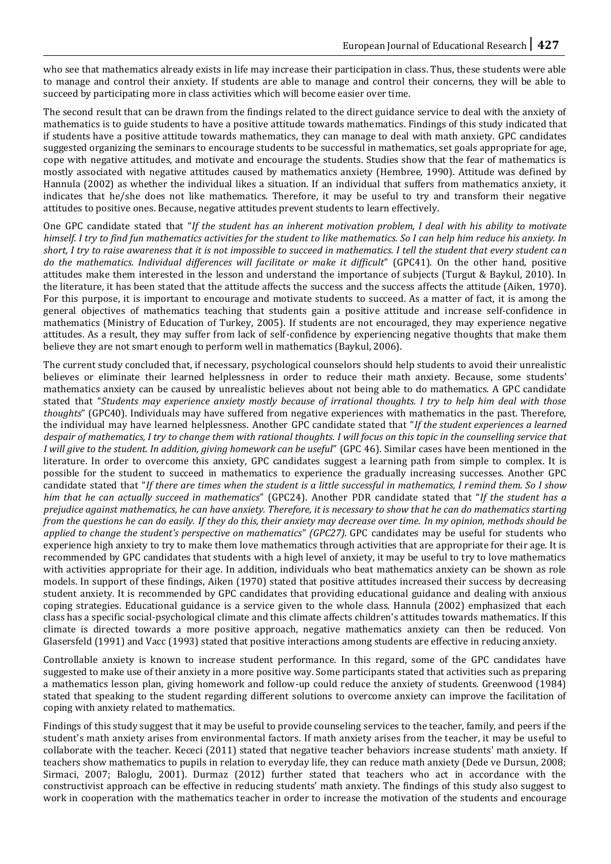who see that mathematics already exists in life may increase their participation in class. Thus, these students were able to manage and control their anxiety. If students are able to manage and control their concerns, they will be able to succeed by participating more in class activities which will become easier over time.

The second result that can be drawn from the findings related to the direct guidance service to deal with the anxiety of mathematics is to guide students to have a positive attitude towards mathematics. Findings of this study indicated that if students have a positive attitude towards mathematics, they can manage to deal with math anxiety. GPC candidates suggested organizing the seminars to encourage students to be successful in mathematics, set goals appropriate for age, cope with negative attitudes, and motivate and encourage the students. Studies show that the fear of mathematics is mostly associated with negative attitudes caused by mathematics anxiety (Hembree, 1990). Attitude was defined by Hannula (2002) as whether the individual likes a situation. If an individual that suffers from mathematics anxiety, it indicates that he/she does not like mathematics. Therefore, it may be useful to try and transform their negative attitudes to positive ones. Because, negative attitudes prevent students to learn effectively.

One GPC candidate stated that "*If the student has an inherent motivation problem, I deal with his ability to motivate himself. I try to find fun mathematics activities for the student to like mathematics. So I can help him reduce his anxiety. In short, I try to raise awareness that it is not impossible to succeed in mathematics. I tell the student that every student can do the mathematics. Individual differences will facilitate or make it difficult*" (GPC41). On the other hand, positive attitudes make them interested in the lesson and understand the importance of subjects (Turgut & Baykul, 2010). In the literature, it has been stated that the attitude affects the success and the success affects the attitude (Aiken, 1970). For this purpose, it is important to encourage and motivate students to succeed. As a matter of fact, it is among the general objectives of mathematics teaching that students gain a positive attitude and increase self-confidence in mathematics (Ministry of Education of Turkey, 2005). If students are not encouraged, they may experience negative attitudes. As a result, they may suffer from lack of self-confidence by experiencing negative thoughts that make them believe they are not smart enough to perform well in mathematics (Baykul, 2006).

The current study concluded that, if necessary, psychological counselors should help students to avoid their unrealistic believes or eliminate their learned helplessness in order to reduce their math anxiety. Because, some students' mathematics anxiety can be caused by unrealistic believes about not being able to do mathematics. A GPC candidate stated that "*Students may experience anxiety mostly because of irrational thoughts. I try to help him deal with those thoughts*" (GPC40). Individuals may have suffered from negative experiences with mathematics in the past. Therefore, the individual may have learned helplessness. Another GPC candidate stated that "*If the student experiences a learned despair of mathematics, I try to change them with rational thoughts. I will focus on this topic in the counselling service that I will give to the student. In addition, giving homework can be useful*" (GPC 46). Similar cases have been mentioned in the literature. In order to overcome this anxiety, GPC candidates suggest a learning path from simple to complex. It is possible for the student to succeed in mathematics to experience the gradually increasing successes. Another GPC candidate stated that "*If there are times when the student is a little successful in mathematics, I remind them. So I show him that he can actually succeed in mathematics*" (GPC24). Another PDR candidate stated that "*If the student has a prejudice against mathematics, he can have anxiety. Therefore, it is necessary to show that he can do mathematics starting from the questions he can do easily. If they do this, their anxiety may decrease over time. In my opinion, methods should be applied to change the student's perspective on mathematics*" *(GPC27).* GPC candidates may be useful for students who experience high anxiety to try to make them love mathematics through activities that are appropriate for their age. It is recommended by GPC candidates that students with a high level of anxiety, it may be useful to try to love mathematics with activities appropriate for their age. In addition, individuals who beat mathematics anxiety can be shown as role models. In support of these findings, Aiken (1970) stated that positive attitudes increased their success by decreasing student anxiety. It is recommended by GPC candidates that providing educational guidance and dealing with anxious coping strategies. Educational guidance is a service given to the whole class. Hannula (2002) emphasized that each class has a specific social-psychological climate and this climate affects children's attitudes towards mathematics. If this climate is directed towards a more positive approach, negative mathematics anxiety can then be reduced. Von Glasersfeld (1991) and Vacc (1993) stated that positive interactions among students are effective in reducing anxiety.

Controllable anxiety is known to increase student performance. In this regard, some of the GPC candidates have suggested to make use of their anxiety in a more positive way. Some participants stated that activities such as preparing a mathematics lesson plan, giving homework and follow-up could reduce the anxiety of students. Greenwood (1984) stated that speaking to the student regarding different solutions to overcome anxiety can improve the facilitation of coping with anxiety related to mathematics.

Findings of this study suggest that it may be useful to provide counseling services to the teacher, family, and peers if the student's math anxiety arises from environmental factors. If math anxiety arises from the teacher, it may be useful to collaborate with the teacher. Kececi (2011) stated that negative teacher behaviors increase students' math anxiety. If teachers show mathematics to pupils in relation to everyday life, they can reduce math anxiety (Dede ve Dursun, 2008; Sirmaci, 2007; Baloglu, 2001). Durmaz (2012) further stated that teachers who act in accordance with the constructivist approach can be effective in reducing students' math anxiety. The findings of this study also suggest to work in cooperation with the mathematics teacher in order to increase the motivation of the students and encourage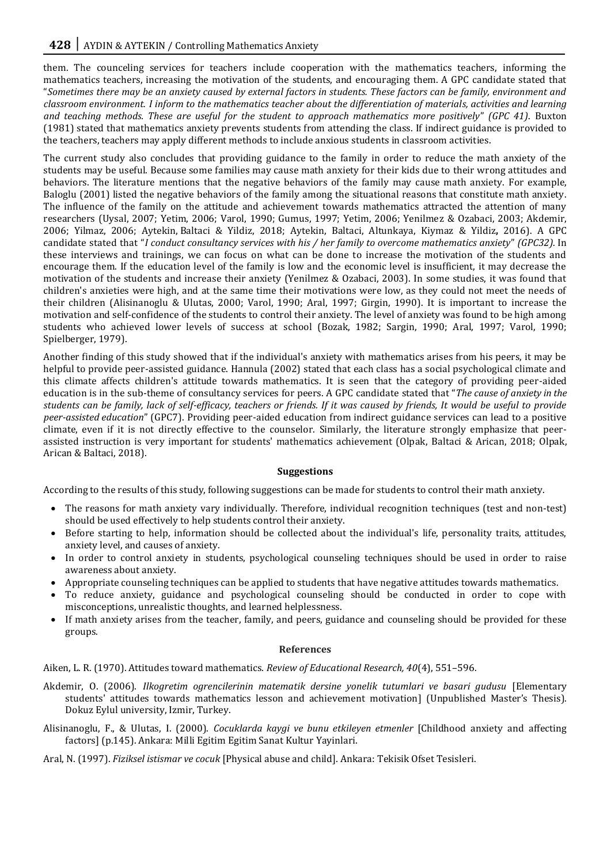them. The counceling services for teachers include cooperation with the mathematics teachers, informing the mathematics teachers, increasing the motivation of the students, and encouraging them. A GPC candidate stated that "*Sometimes there may be an anxiety caused by external factors in students. These factors can be family, environment and classroom environment. I inform to the mathematics teacher about the differentiation of materials, activities and learning and teaching methods. These are useful for the student to approach mathematics more positively*" *(GPC 41)*. Buxton (1981) stated that mathematics anxiety prevents students from attending the class. If indirect guidance is provided to the teachers, teachers may apply different methods to include anxious students in classroom activities.

The current study also concludes that providing guidance to the family in order to reduce the math anxiety of the students may be useful. Because some families may cause math anxiety for their kids due to their wrong attitudes and behaviors. The literature mentions that the negative behaviors of the family may cause math anxiety. For example, Baloglu (2001) listed the negative behaviors of the family among the situational reasons that constitute math anxiety. The influence of the family on the attitude and achievement towards mathematics attracted the attention of many researchers (Uysal, 2007; Yetim, 2006; Varol, 1990; Gumus, 1997; Yetim, 2006; Yenilmez & Ozabaci, 2003; Akdemir, 2006; Yilmaz, 2006; Aytekin, Baltaci & Yildiz, 2018; Aytekin, Baltaci, Altunkaya, Kiymaz & Yildiz**,** 2016). A GPC candidate stated that "*I conduct consultancy services with his / her family to overcome mathematics anxiety*" *(GPC32).* In these interviews and trainings, we can focus on what can be done to increase the motivation of the students and encourage them. If the education level of the family is low and the economic level is insufficient, it may decrease the motivation of the students and increase their anxiety (Yenilmez & Ozabaci, 2003). In some studies, it was found that children's anxieties were high, and at the same time their motivations were low, as they could not meet the needs of their children (Alisinanoglu & Ulutas, 2000; Varol, 1990; Aral, 1997; Girgin, 1990). It is important to increase the motivation and self-confidence of the students to control their anxiety. The level of anxiety was found to be high among students who achieved lower levels of success at school (Bozak, 1982; Sargin, 1990; Aral, 1997; Varol, 1990; Spielberger, 1979).

Another finding of this study showed that if the individual's anxiety with mathematics arises from his peers, it may be helpful to provide peer-assisted guidance. Hannula (2002) stated that each class has a social psychological climate and this climate affects children's attitude towards mathematics. It is seen that the category of providing peer-aided education is in the sub-theme of consultancy services for peers. A GPC candidate stated that "*The cause of anxiety in the students can be family, lack of self-efficacy, teachers or friends. If it was caused by friends, It would be useful to provide peer-assisted education*" (GPC7). Providing peer-aided education from indirect guidance services can lead to a positive climate, even if it is not directly effective to the counselor. Similarly, the literature strongly emphasize that peerassisted instruction is very important for students' mathematics achievement (Olpak, Baltaci & Arican, 2018; Olpak, Arican & Baltaci, 2018).

# **Suggestions**

According to the results of this study, following suggestions can be made for students to control their math anxiety.

- The reasons for math anxiety vary individually. Therefore, individual recognition techniques (test and non-test) should be used effectively to help students control their anxiety.
- Before starting to help, information should be collected about the individual's life, personality traits, attitudes, anxiety level, and causes of anxiety.
- In order to control anxiety in students, psychological counseling techniques should be used in order to raise awareness about anxiety.
- Appropriate counseling techniques can be applied to students that have negative attitudes towards mathematics.
- To reduce anxiety, guidance and psychological counseling should be conducted in order to cope with misconceptions, unrealistic thoughts, and learned helplessness.
- If math anxiety arises from the teacher, family, and peers, guidance and counseling should be provided for these groups.

#### **References**

Aiken, L. R. (1970). Attitudes toward mathematics. *Review of Educational Research, 40*(4), 551–596.

- Akdemir, O. (2006). *Ilkogretim ogrencilerinin matematik dersine yonelik tutumlari ve basari gudusu* [Elementary students' attitudes towards mathematics lesson and achievement motivation] (Unpublished Master's Thesis). Dokuz Eylul university, Izmir, Turkey.
- Alisinanoglu, F., & Ulutas, I. (2000). *Cocuklarda kaygi ve bunu etkileyen etmenler* [Childhood anxiety and affecting factors] (p.145). Ankara: Milli Egitim Egitim Sanat Kultur Yayinlari.
- Aral, N. (1997). *Fiziksel istismar ve cocuk* [Physical abuse and child]. Ankara: Tekisik Ofset Tesisleri.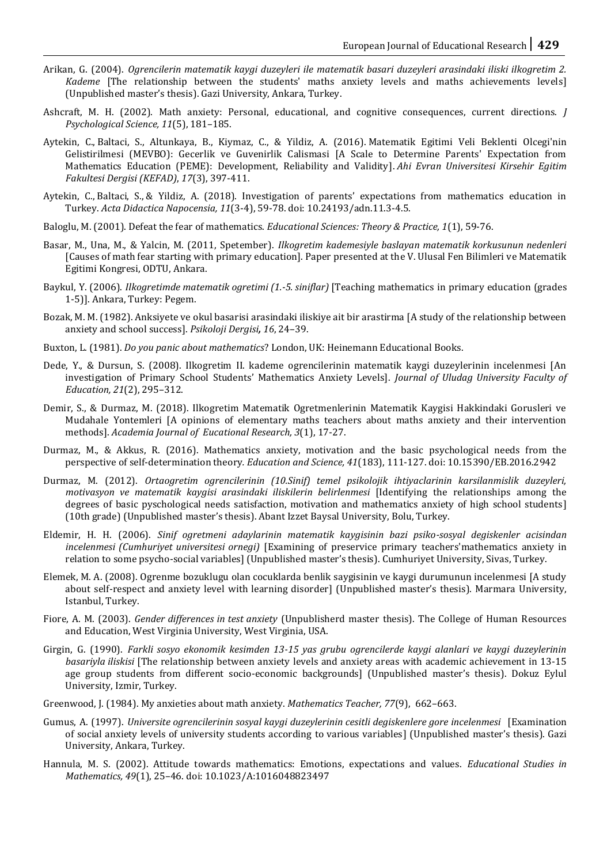- Arikan, G. (2004). *Ogrencilerin matematik kaygi duzeyleri ile matematik basari duzeyleri arasindaki iliski ilkogretim 2. Kademe* [The relationship between the students' maths anxiety levels and maths achievements levels] (Unpublished master's thesis). Gazi University, Ankara, Turkey.
- Ashcraft, M. H. (2002). Math anxiety: Personal, educational, and cognitive consequences, current directions. *J Psychological Science, 11*(5), 181–185.
- Aytekin, C., Baltaci, S., Altunkaya, B., Kiymaz, C., & Yildiz, A. (2016). Matematik Egitimi Veli Beklenti Olcegi'nin Gelistirilmesi (MEVBO): Gecerlik ve Guvenirlik Calismasi [A Scale to Determine Parents' Expectation from Mathematics Education (PEME): Development, Reliability and Validity]. *Ahi Evran Universitesi Kirsehir Egitim Fakultesi Dergisi (KEFAD)*, *17*(3), 397-411.
- Aytekin, C., Baltaci, S., & Yildiz, A. (2018). Investigation of parents' expectations from mathematics education in Turkey. *Acta Didactica Napocensia, 11*(3-4), 59-78. doi: 10.24193/adn.11.3-4.5.
- Baloglu, M. (2001). Defeat the fear of mathematics. *Educational Sciences: Theory & Practice, 1*(1), 59-76.
- Basar, M., Una, M., & Yalcin, M. (2011, Spetember). *Ilkogretim kademesiyle baslayan matematik korkusunun nedenleri*  [Causes of math fear starting with primary education]. Paper presented at the V. Ulusal Fen Bilimleri ve Matematik Egitimi Kongresi, ODTU, Ankara.
- Baykul, Y. (2006). *Ilkogretimde matematik ogretimi (1.-5. siniflar)* [Teaching mathematics in primary education (grades 1-5)]. Ankara, Turkey: Pegem.
- Bozak, M. M. (1982). Anksiyete ve okul basarisi arasindaki iliskiye ait bir arastirma [A study of the relationship between anxiety and school success]. *Psikoloji Dergisi, 16*, 24–39.
- Buxton, L. (1981). *Do you panic about mathematics*? London, UK: Heinemann Educational Books.
- Dede, Y., & Dursun, S. (2008). Ilkogretim II. kademe ogrencilerinin matematik kaygi duzeylerinin incelenmesi [An investigation of Primary School Students' Mathematics Anxiety Levels]. *Journal of Uludag University Faculty of Education, 21*(2), 295–312.
- Demir, S., & Durmaz, M. (2018). Ilkogretim Matematik Ogretmenlerinin Matematik Kaygisi Hakkindaki Gorusleri ve Mudahale Yontemleri [A opinions of elementary maths teachers about maths anxiety and their intervention methods]. *Academia Journal of Eucational Research, 3*(1), 17-27.
- Durmaz, M., & Akkus, R. (2016). Mathematics anxiety, motivation and the basic psychological needs from the perspective of self-determination theory*. Education and Science, 41*(183), 111-127. doi: 10.15390/EB.2016.2942
- Durmaz, M. (2012). *Ortaogretim ogrencilerinin (10.Sinif) temel psikolojik ihtiyaclarinin karsilanmislik duzeyleri, motivasyon ve matematik kaygisi arasindaki iliskilerin belirlenmesi* [Identifying the relationships among the degrees of basic pyschological needs satisfaction, motivation and mathematics anxiety of high school students] (10th grade) (Unpublished master's thesis). Abant Izzet Baysal University, Bolu, Turkey.
- Eldemir, H. H. (2006). *Sinif ogretmeni adaylarinin matematik kaygisinin bazi psiko-sosyal degiskenler acisindan incelenmesi (Cumhuriyet universitesi ornegi)* [Examining of preservice primary teachers'mathematics anxiety in relation to some psycho-social variables] (Unpublished master's thesis). Cumhuriyet University, Sivas, Turkey.
- Elemek, M. A. (2008). Ogrenme bozuklugu olan cocuklarda benlik saygisinin ve kaygi durumunun incelenmesi [A study about self-respect and anxiety level with learning disorder] (Unpublished master's thesis). Marmara University, Istanbul, Turkey.
- Fiore, A. M. (2003). *Gender differences in test anxiety* (Unpublisherd master thesis). The College of Human Resources and Education, West Virginia University, West Virginia, USA.
- Girgin, G. (1990). *Farkli sosyo ekonomik kesimden 13-15 yas grubu ogrencilerde kaygi alanlari ve kaygi duzeylerinin basariyla iliskisi* [The relationship between anxiety levels and anxiety areas with academic achievement in 13-15 age group students from different socio-economic backgrounds] (Unpublished master's thesis). Dokuz Eylul University, Izmir, Turkey.
- Greenwood, J. (1984). My anxieties about math anxiety. *Mathematics Teacher, 77*(9), 662–663.
- Gumus, A. (1997). *Universite ogrencilerinin sosyal kaygi duzeylerinin cesitli degiskenlere gore incelenmesi* [Examination of social anxiety levels of university students according to various variables] (Unpublished master's thesis). Gazi University, Ankara, Turkey.
- Hannula, M. S. (2002). Attitude towards mathematics: Emotions, expectations and values. *Educational Studies in Mathematics, 49*(1), 25–46. doi: 10.1023/A:1016048823497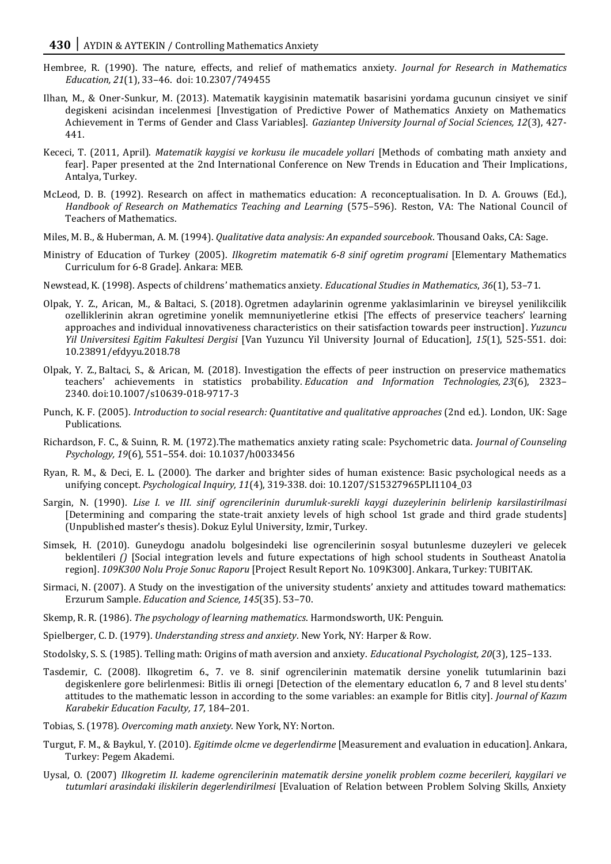- Hembree, R. (1990). The nature, effects, and relief of mathematics anxiety. *Journal for Research in Mathematics Education, 21*(1), 33–46. doi: 10.2307/749455
- Ilhan, M., & Oner-Sunkur, M. (2013). Matematik kaygisinin matematik basarisini yordama gucunun cinsiyet ve sinif degiskeni acisindan incelenmesi [Investigation of Predictive Power of Mathematics Anxiety on Mathematics Achievement in Terms of Gender and Class Variables]. *Gaziantep University Journal of Social Sciences, 12*(3), 427- 441.
- Kececi, T. (2011, April). *Matematik kaygisi ve korkusu ile mucadele yollari* [Methods of combating math anxiety and fear]. Paper presented at the 2nd International Conference on New Trends in Education and Their Implications, Antalya, Turkey.
- McLeod, D. B. (1992). Research on affect in mathematics education: A reconceptualisation. In D. A. Grouws (Ed.), *Handbook of Research on Mathematics Teaching and Learning* (575–596). Reston, VA: The National Council of Teachers of Mathematics.
- Miles, M. B., & Huberman, A. M. (1994). *Qualitative data analysis: An expanded sourcebook*. Thousand Oaks, CA: Sage.
- Ministry of Education of Turkey (2005). *Ilkogretim matematik 6-8 sinif ogretim programi* [Elementary Mathematics Curriculum for 6-8 Grade]. Ankara: MEB.
- Newstead, K. (1998). Aspects of childrens' mathematics anxiety. *Educational Studies in Mathematics*, *36*(1), 53–71.
- Olpak, Y. Z., Arican, M., & Baltaci, S. (2018). Ogretmen adaylarinin ogrenme yaklasimlarinin ve bireysel yenilikcilik ozelliklerinin akran ogretimine yonelik memnuniyetlerine etkisi [The effects of preservice teachers' learning approaches and individual innovativeness characteristics on their satisfaction towards peer instruction]. *Yuzuncu Yil Universitesi Egitim Fakultesi Dergisi* [Van Yuzuncu Yil University Journal of Education], *15*(1), 525-551. doi: 10.23891/efdyyu.2018.78
- Olpak, Y. Z., Baltaci, S., & Arican, M. (2018). Investigation the effects of peer instruction on preservice mathematics teachers' achievements in statistics probability. *Education and Information Technologies, 23*(6), 2323– 2340*.* [doi:10.1007/s10639-018-9717-3](https://doi.org/10.1007/s10639-018-9717-3)
- Punch, K. F. (2005). *Introduction to social research: Quantitative and qualitative approaches* (2nd ed.). London, UK: Sage Publications.
- Richardson, F. C., & Suinn, R. M. (1972).The mathematics anxiety rating scale: Psychometric data. *Journal of Counseling Psychology, 19*(6), 551–554. doi: 10.1037/h0033456
- Ryan, R. M., & Deci, E. L. (2000). The darker and brighter sides of human existence: Basic psychological needs as a unifying concept. *Psychological Inquiry, 11*(4), 319-338. doi: 10.1207/S15327965PLI1104\_03
- Sargin, N. (1990). *Lise I. ve III. sinif ogrencilerinin durumluk-surekli kaygi duzeylerinin belirlenip karsilastirilmasi* [Determining and comparing the state-trait anxiety levels of high school 1st grade and third grade students] (Unpublished master's thesis). Dokuz Eylul University, Izmir, Turkey.
- Simsek, H. (2010). Guneydogu anadolu bolgesindeki lise ogrencilerinin sosyal butunlesme duzeyleri ve gelecek beklentileri *()* [Social integration levels and future expectations of high school students in Southeast Anatolia region]. *109K300 Nolu Proje Sonuc Raporu* [Project Result Report No. 109K300]. Ankara, Turkey: TUBITAK.
- Sirmaci, N. (2007). A Study on the investigation of the university students' anxiety and attitudes toward mathematics: Erzurum Sample. *Education and Science, 145*(35). 53–70.
- Skemp, R. R. (1986). *The psychology of learning mathematics*. Harmondsworth, UK: Penguin.
- Spielberger, C. D. (1979). *Understanding stress and anxiety*. New York, NY: Harper & Row.
- Stodolsky, S. S. (1985). Telling math: Origins of math aversion and anxiety. *Educational Psychologist, 20*(3), 125–133.
- Tasdemir, C. (2008). Ilkogretim 6., 7. ve 8. sinif ogrencilerinin matematik dersine yonelik tutumlarinin bazi degiskenlere gore belirlenmesi: Bitlis ili ornegi [Detection of the elementary educatlon 6, 7 and 8 level students' attitudes to the mathematic lesson in according to the some variables: an example for Bitlis city]. *Journal of Kazım Karabekir Education Faculty, 17*, 184–201.
- Tobias, S. (1978). *Overcoming math anxiety*. New York, NY: Norton.
- Turgut, F. M., & Baykul, Y. (2010). *Egitimde olcme ve degerlendirme* [Measurement and evaluation in education]. Ankara, Turkey: Pegem Akademi.
- Uysal, O. (2007) *Ilkogretim II. kademe ogrencilerinin matematik dersine yonelik problem cozme becerileri, kaygilari ve tutumlari arasindaki iliskilerin degerlendirilmesi* [Evaluation of Relation between Problem Solving Skills, Anxiety